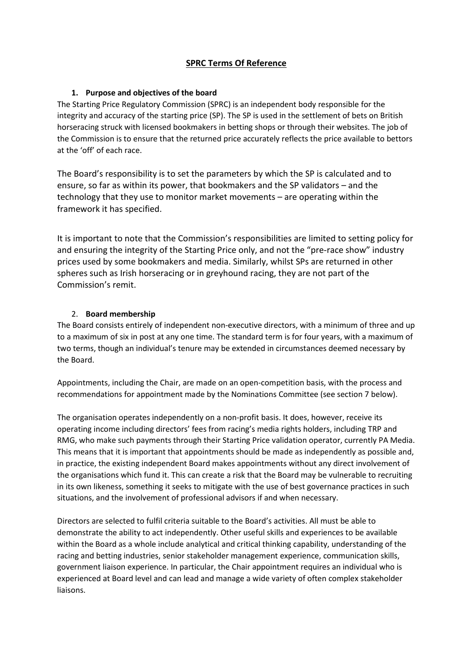# **SPRC Terms Of Reference**

## **1. Purpose and objectives of the board**

The Starting Price Regulatory Commission (SPRC) is an independent body responsible for the integrity and accuracy of the starting price (SP). The SP is used in the settlement of bets on British horseracing struck with licensed bookmakers in betting shops or through their websites. The job of the Commission is to ensure that the returned price accurately reflects the price available to bettors at the 'off' of each race.

The Board's responsibility is to set the parameters by which the SP is calculated and to ensure, so far as within its power, that bookmakers and the SP validators – and the technology that they use to monitor market movements – are operating within the framework it has specified.

It is important to note that the Commission's responsibilities are limited to setting policy for and ensuring the integrity of the Starting Price only, and not the "pre-race show" industry prices used by some bookmakers and media. Similarly, whilst SPs are returned in other spheres such as Irish horseracing or in greyhound racing, they are not part of the Commission's remit.

# 2. **Board membership**

The Board consists entirely of independent non-executive directors, with a minimum of three and up to a maximum of six in post at any one time. The standard term is for four years, with a maximum of two terms, though an individual's tenure may be extended in circumstances deemed necessary by the Board.

Appointments, including the Chair, are made on an open-competition basis, with the process and recommendations for appointment made by the Nominations Committee (see section 7 below).

The organisation operates independently on a non-profit basis. It does, however, receive its operating income including directors' fees from racing's media rights holders, including TRP and RMG, who make such payments through their Starting Price validation operator, currently PA Media. This means that it is important that appointments should be made as independently as possible and, in practice, the existing independent Board makes appointments without any direct involvement of the organisations which fund it. This can create a risk that the Board may be vulnerable to recruiting in its own likeness, something it seeks to mitigate with the use of best governance practices in such situations, and the involvement of professional advisors if and when necessary.

Directors are selected to fulfil criteria suitable to the Board's activities. All must be able to demonstrate the ability to act independently. Other useful skills and experiences to be available within the Board as a whole include analytical and critical thinking capability, understanding of the racing and betting industries, senior stakeholder management experience, communication skills, government liaison experience. In particular, the Chair appointment requires an individual who is experienced at Board level and can lead and manage a wide variety of often complex stakeholder liaisons.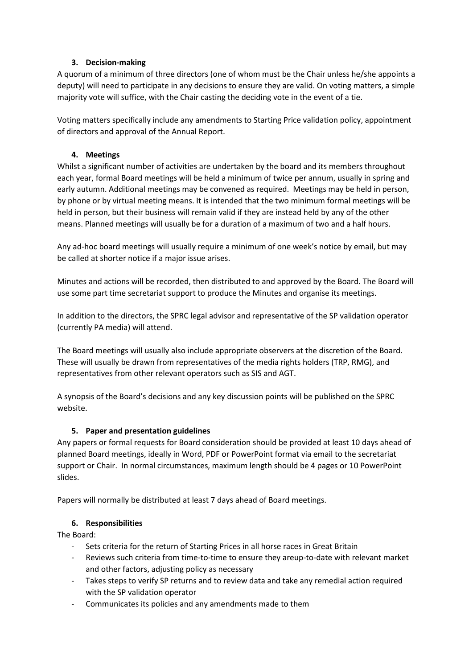# **3. Decision-making**

A quorum of a minimum of three directors (one of whom must be the Chair unless he/she appoints a deputy) will need to participate in any decisions to ensure they are valid. On voting matters, a simple majority vote will suffice, with the Chair casting the deciding vote in the event of a tie.

Voting matters specifically include any amendments to Starting Price validation policy, appointment of directors and approval of the Annual Report.

# **4. Meetings**

Whilst a significant number of activities are undertaken by the board and its members throughout each year, formal Board meetings will be held a minimum of twice per annum, usually in spring and early autumn. Additional meetings may be convened as required. Meetings may be held in person, by phone or by virtual meeting means. It is intended that the two minimum formal meetings will be held in person, but their business will remain valid if they are instead held by any of the other means. Planned meetings will usually be for a duration of a maximum of two and a half hours.

Any ad-hoc board meetings will usually require a minimum of one week's notice by email, but may be called at shorter notice if a major issue arises.

Minutes and actions will be recorded, then distributed to and approved by the Board. The Board will use some part time secretariat support to produce the Minutes and organise its meetings.

In addition to the directors, the SPRC legal advisor and representative of the SP validation operator (currently PA media) will attend.

The Board meetings will usually also include appropriate observers at the discretion of the Board. These will usually be drawn from representatives of the media rights holders (TRP, RMG), and representatives from other relevant operators such as SIS and AGT.

A synopsis of the Board's decisions and any key discussion points will be published on the SPRC website.

# **5. Paper and presentation guidelines**

Any papers or formal requests for Board consideration should be provided at least 10 days ahead of planned Board meetings, ideally in Word, PDF or PowerPoint format via email to the secretariat support or Chair. In normal circumstances, maximum length should be 4 pages or 10 PowerPoint slides.

Papers will normally be distributed at least 7 days ahead of Board meetings.

## **6. Responsibilities**

The Board:

- Sets criteria for the return of Starting Prices in all horse races in Great Britain
- Reviews such criteria from time-to-time to ensure they areup-to-date with relevant market and other factors, adjusting policy as necessary
- Takes steps to verify SP returns and to review data and take any remedial action required with the SP validation operator
- Communicates its policies and any amendments made to them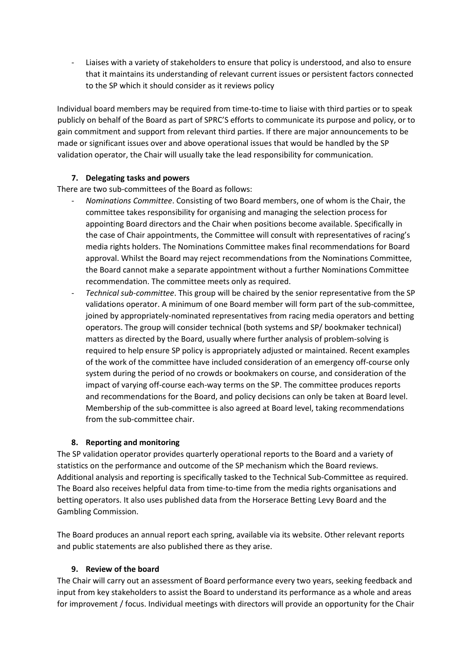- Liaises with a variety of stakeholders to ensure that policy is understood, and also to ensure that it maintains its understanding of relevant current issues or persistent factors connected to the SP which it should consider as it reviews policy

Individual board members may be required from time-to-time to liaise with third parties or to speak publicly on behalf of the Board as part of SPRC'S efforts to communicate its purpose and policy, or to gain commitment and support from relevant third parties. If there are major announcements to be made or significant issues over and above operational issues that would be handled by the SP validation operator, the Chair will usually take the lead responsibility for communication.

## **7. Delegating tasks and powers**

There are two sub-committees of the Board as follows:

- *Nominations Committee*. Consisting of two Board members, one of whom is the Chair, the committee takes responsibility for organising and managing the selection process for appointing Board directors and the Chair when positions become available. Specifically in the case of Chair appointments, the Committee will consult with representatives of racing's media rights holders. The Nominations Committee makes final recommendations for Board approval. Whilst the Board may reject recommendations from the Nominations Committee, the Board cannot make a separate appointment without a further Nominations Committee recommendation. The committee meets only as required.
- *Technical sub*-*committee*. This group will be chaired by the senior representative from the SP validations operator. A minimum of one Board member will form part of the sub-committee, joined by appropriately-nominated representatives from racing media operators and betting operators. The group will consider technical (both systems and SP/ bookmaker technical) matters as directed by the Board, usually where further analysis of problem-solving is required to help ensure SP policy is appropriately adjusted or maintained. Recent examples of the work of the committee have included consideration of an emergency off-course only system during the period of no crowds or bookmakers on course, and consideration of the impact of varying off-course each-way terms on the SP. The committee produces reports and recommendations for the Board, and policy decisions can only be taken at Board level. Membership of the sub-committee is also agreed at Board level, taking recommendations from the sub-committee chair.

#### **8. Reporting and monitoring**

The SP validation operator provides quarterly operational reports to the Board and a variety of statistics on the performance and outcome of the SP mechanism which the Board reviews. Additional analysis and reporting is specifically tasked to the Technical Sub-Committee as required. The Board also receives helpful data from time-to-time from the media rights organisations and betting operators. It also uses published data from the Horserace Betting Levy Board and the Gambling Commission.

The Board produces an annual report each spring, available via its website. Other relevant reports and public statements are also published there as they arise.

## **9. Review of the board**

The Chair will carry out an assessment of Board performance every two years, seeking feedback and input from key stakeholders to assist the Board to understand its performance as a whole and areas for improvement / focus. Individual meetings with directors will provide an opportunity for the Chair